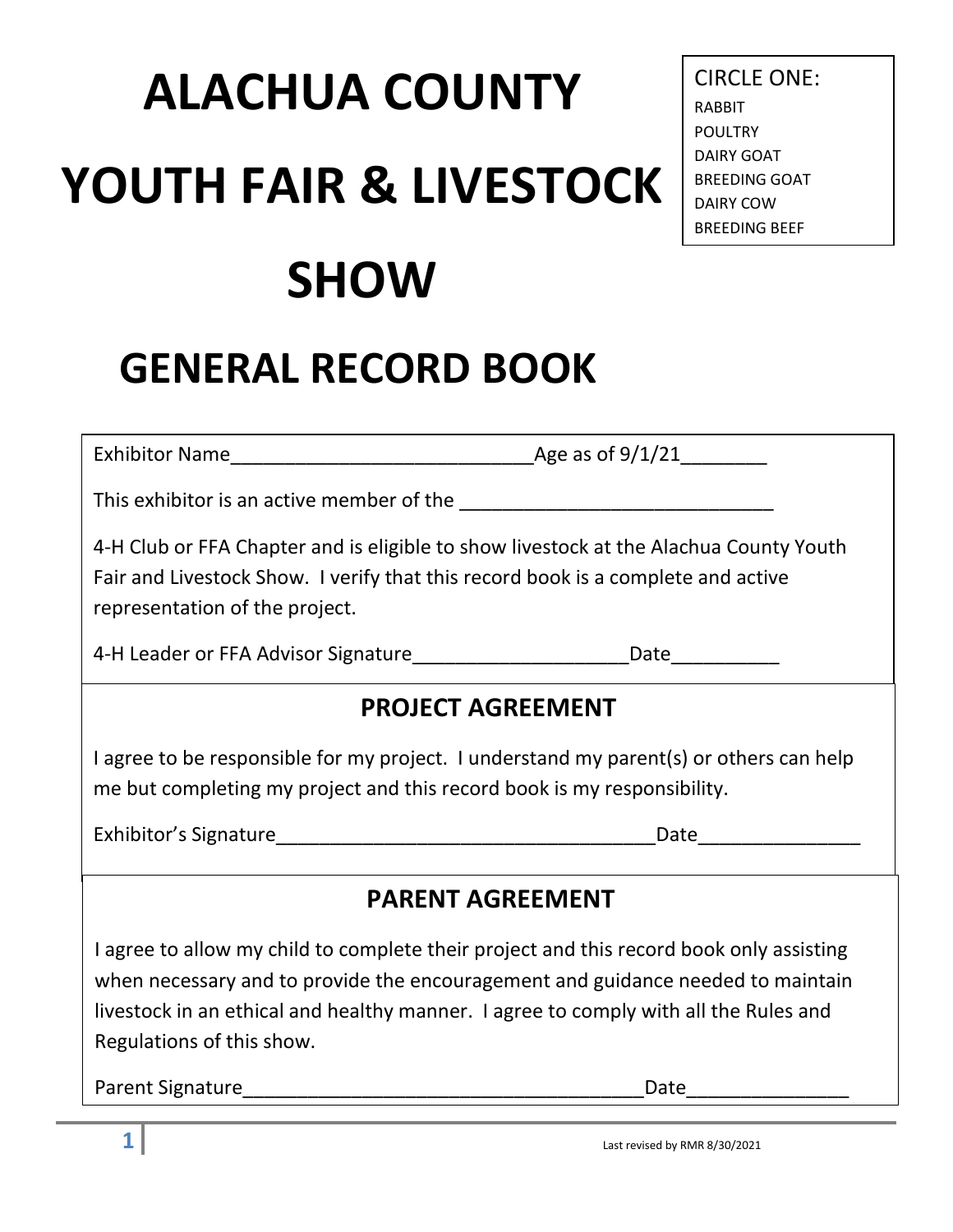# **ALACHUA COUNTY YOUTH FAIR & LIVESTOCK SHOW**

### **GENERAL RECORD BOOK**

 $\begin{array}{c}\n\text{Age as of } 9/1/21\n\end{array}$ 

This exhibitor is an active member of the **EXALLA** 

4-H Club or FFA Chapter and is eligible to show livestock at the Alachua County Youth Fair and Livestock Show. I verify that this record book is a complete and active representation of the project.

4-H Leader or FFA Advisor Signature\_\_\_\_\_\_\_\_\_\_\_\_\_\_\_\_\_\_\_\_Date\_\_\_\_\_\_\_\_\_\_

#### **PROJECT AGREEMENT**

I agree to be responsible for my project. I understand my parent(s) or others can help me but completing my project and this record book is my responsibility.

Exhibitor's Signature\_\_\_\_\_\_\_\_\_\_\_\_\_\_\_\_\_\_\_\_\_\_\_\_\_\_\_\_\_\_\_\_\_\_\_Date\_\_\_\_\_\_\_\_\_\_\_\_\_\_\_

#### **PARENT AGREEMENT**

I agree to allow my child to complete their project and this record book only assisting when necessary and to provide the encouragement and guidance needed to maintain livestock in an ethical and healthy manner. I agree to comply with all the Rules and Regulations of this show.

Parent Signature\_\_\_\_\_\_\_\_\_\_\_\_\_\_\_\_\_\_\_\_\_\_\_\_\_\_\_\_\_\_\_\_\_\_\_\_\_Date\_\_\_\_\_\_\_\_\_\_\_\_\_\_\_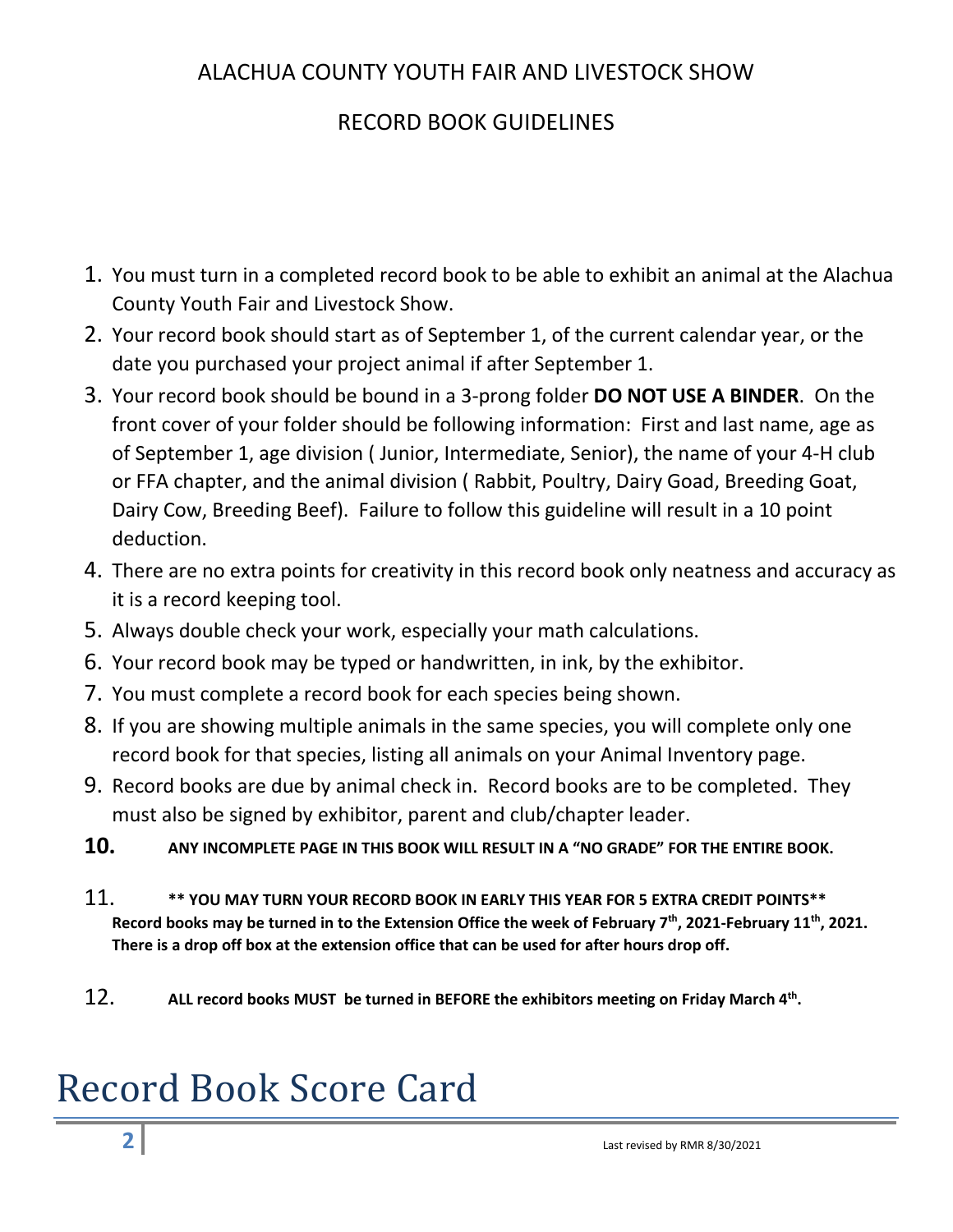#### ALACHUA COUNTY YOUTH FAIR AND LIVESTOCK SHOW

#### RECORD BOOK GUIDELINES

- 1. You must turn in a completed record book to be able to exhibit an animal at the Alachua County Youth Fair and Livestock Show.
- 2. Your record book should start as of September 1, of the current calendar year, or the date you purchased your project animal if after September 1.
- 3. Your record book should be bound in a 3-prong folder **DO NOT USE A BINDER**. On the front cover of your folder should be following information: First and last name, age as of September 1, age division ( Junior, Intermediate, Senior), the name of your 4-H club or FFA chapter, and the animal division ( Rabbit, Poultry, Dairy Goad, Breeding Goat, Dairy Cow, Breeding Beef). Failure to follow this guideline will result in a 10 point deduction.
- 4. There are no extra points for creativity in this record book only neatness and accuracy as it is a record keeping tool.
- 5. Always double check your work, especially your math calculations.
- 6. Your record book may be typed or handwritten, in ink, by the exhibitor.
- 7. You must complete a record book for each species being shown.
- 8. If you are showing multiple animals in the same species, you will complete only one record book for that species, listing all animals on your Animal Inventory page.
- 9. Record books are due by animal check in. Record books are to be completed. They must also be signed by exhibitor, parent and club/chapter leader.
- **10. ANY INCOMPLETE PAGE IN THIS BOOK WILL RESULT IN A "NO GRADE" FOR THE ENTIRE BOOK.**
- 11. **\*\* YOU MAY TURN YOUR RECORD BOOK IN EARLY THIS YEAR FOR 5 EXTRA CREDIT POINTS\*\***  Record books may be turned in to the Extension Office the week of February 7<sup>th</sup>, 2021-February 11<sup>th</sup>, 2021. **There is a drop off box at the extension office that can be used for after hours drop off.**
- 12. **ALL record books MUST be turned in BEFORE the exhibitors meeting on Friday March 4th.**

### Record Book Score Card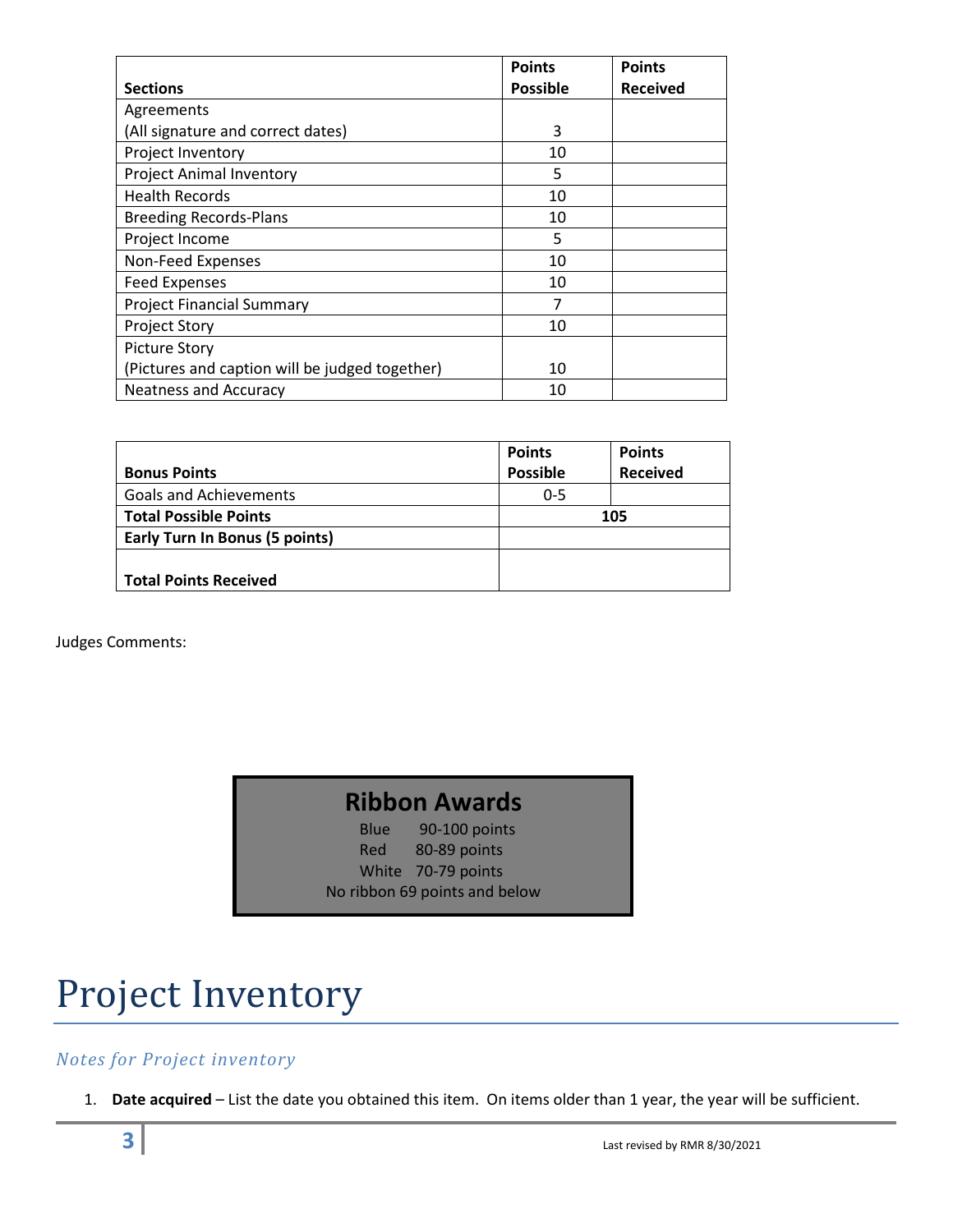|                                                | <b>Points</b>   | <b>Points</b>   |
|------------------------------------------------|-----------------|-----------------|
| <b>Sections</b>                                | <b>Possible</b> | <b>Received</b> |
| Agreements                                     |                 |                 |
| (All signature and correct dates)              | 3               |                 |
| Project Inventory                              | 10              |                 |
| <b>Project Animal Inventory</b>                | 5               |                 |
| <b>Health Records</b>                          | 10              |                 |
| <b>Breeding Records-Plans</b>                  | 10              |                 |
| Project Income                                 | 5               |                 |
| Non-Feed Expenses                              | 10              |                 |
| <b>Feed Expenses</b>                           | 10              |                 |
| <b>Project Financial Summary</b>               |                 |                 |
| <b>Project Story</b>                           | 10              |                 |
| <b>Picture Story</b>                           |                 |                 |
| (Pictures and caption will be judged together) | 10              |                 |
| <b>Neatness and Accuracy</b>                   | 10              |                 |

|                                       | <b>Points</b>   | <b>Points</b>   |  |
|---------------------------------------|-----------------|-----------------|--|
| <b>Bonus Points</b>                   | <b>Possible</b> | <b>Received</b> |  |
| <b>Goals and Achievements</b>         | $0 - 5$         |                 |  |
| <b>Total Possible Points</b>          | 105             |                 |  |
| <b>Early Turn In Bonus (5 points)</b> |                 |                 |  |
|                                       |                 |                 |  |
| <b>Total Points Received</b>          |                 |                 |  |

Judges Comments:

#### **Ribbon Awards**

Blue 90-100 points Red 80-89 points White 70-79 points No ribbon 69 points and below

### Project Inventory

#### *Notes for Project inventory*

1. **Date acquired** – List the date you obtained this item. On items older than 1 year, the year will be sufficient.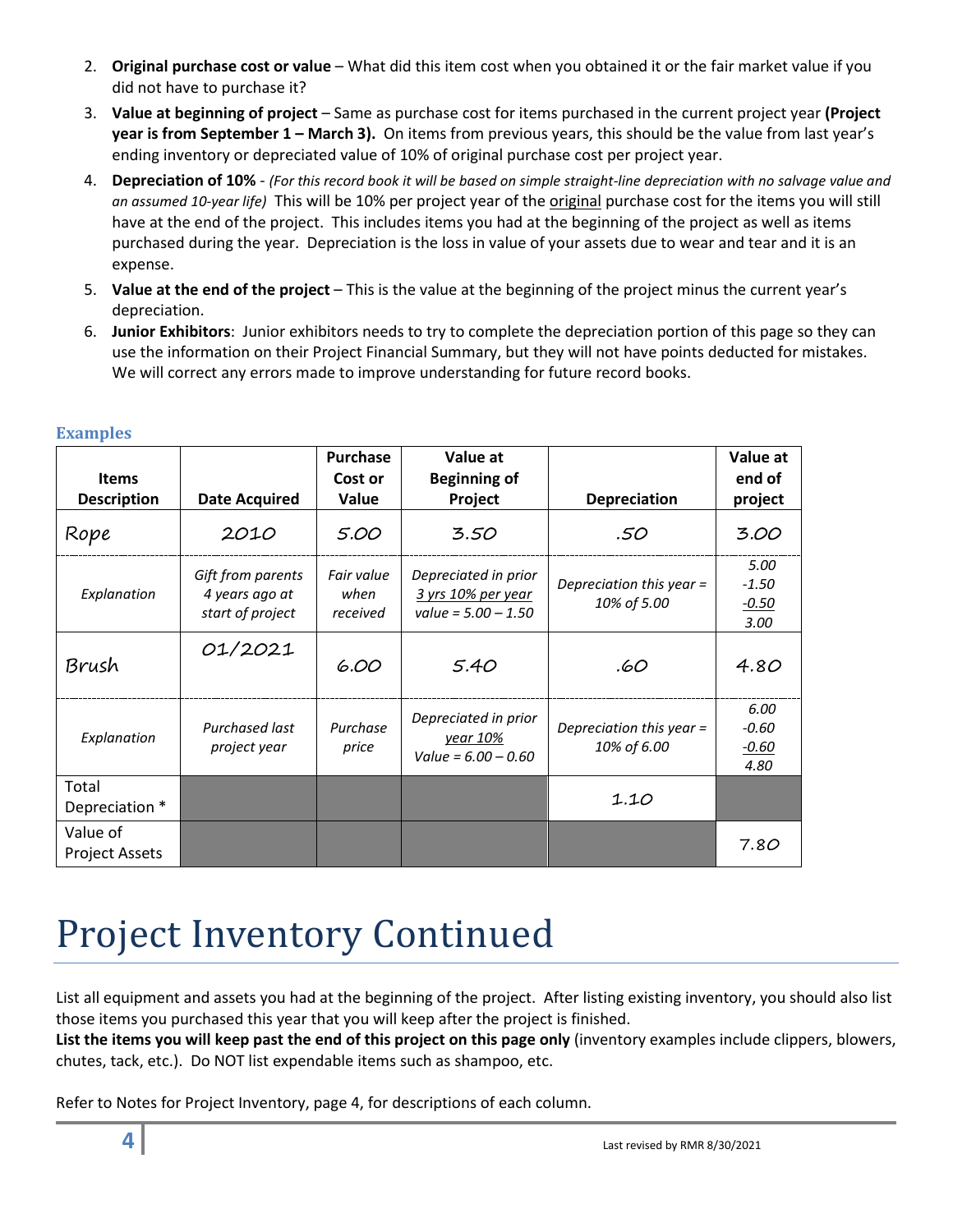- 2. **Original purchase cost or value** What did this item cost when you obtained it or the fair market value if you did not have to purchase it?
- 3. **Value at beginning of project** Same as purchase cost for items purchased in the current project year **(Project year is from September 1 – March 3).** On items from previous years, this should be the value from last year's ending inventory or depreciated value of 10% of original purchase cost per project year.
- 4. **Depreciation of 10%** *(For this record book it will be based on simple straight-line depreciation with no salvage value and an assumed 10-year life)* This will be 10% per project year of the original purchase cost for the items you will still have at the end of the project. This includes items you had at the beginning of the project as well as items purchased during the year. Depreciation is the loss in value of your assets due to wear and tear and it is an expense.
- 5. **Value at the end of the project** This is the value at the beginning of the project minus the current year's depreciation.
- 6. **Junior Exhibitors**: Junior exhibitors needs to try to complete the depreciation portion of this page so they can use the information on their Project Financial Summary, but they will not have points deducted for mistakes. We will correct any errors made to improve understanding for future record books.

| <b>Items</b>                      |                                                         | <b>Purchase</b><br>Cost or     | Value at<br><b>Beginning of</b>                                     |                                         | Value at<br>end of                 |
|-----------------------------------|---------------------------------------------------------|--------------------------------|---------------------------------------------------------------------|-----------------------------------------|------------------------------------|
| <b>Description</b>                | <b>Date Acquired</b>                                    | Value                          | Project                                                             | Depreciation                            | project                            |
| Rope                              | 2010                                                    | 5.00                           | 3.50                                                                | .50                                     | 3.00                               |
| Explanation                       | Gift from parents<br>4 years ago at<br>start of project | Fair value<br>when<br>received | Depreciated in prior<br>3 yrs 10% per year<br>value = $5.00 - 1.50$ | Depreciation this year =<br>10% of 5.00 | 5.00<br>$-1.50$<br>$-0.50$<br>3.00 |
| Brush                             | 01/2021                                                 | 6.00                           | 5.40                                                                | .60                                     | 4.80                               |
| Explanation                       | Purchased last<br>project year                          | Purchase<br>price              | Depreciated in prior<br>year 10%<br>Value = $6.00 - 0.60$           | Depreciation this year =<br>10% of 6.00 | 6.00<br>$-0.60$<br>$-0.60$<br>4.80 |
| Total<br>Depreciation *           |                                                         |                                |                                                                     | 1.10                                    |                                    |
| Value of<br><b>Project Assets</b> |                                                         |                                |                                                                     |                                         | 7.80                               |

#### **Examples**

### Project Inventory Continued

List all equipment and assets you had at the beginning of the project. After listing existing inventory, you should also list those items you purchased this year that you will keep after the project is finished.

**List the items you will keep past the end of this project on this page only** (inventory examples include clippers, blowers, chutes, tack, etc.). Do NOT list expendable items such as shampoo, etc.

Refer to Notes for Project Inventory, page 4, for descriptions of each column.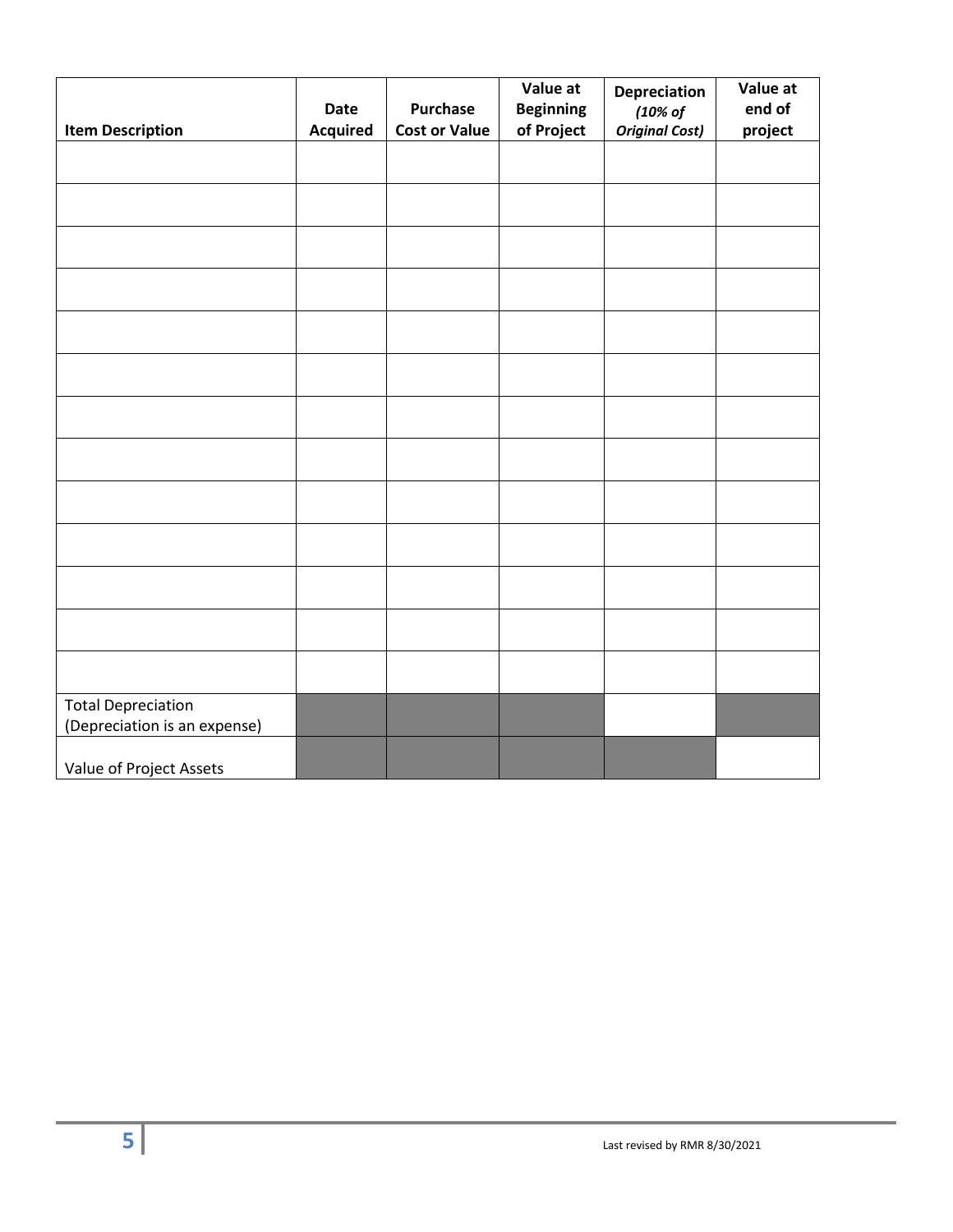|                                                           | Date            | Purchase             | Value at<br><b>Beginning</b> | Depreciation<br>(10% of | Value at<br>end of |
|-----------------------------------------------------------|-----------------|----------------------|------------------------------|-------------------------|--------------------|
| <b>Item Description</b>                                   | <b>Acquired</b> | <b>Cost or Value</b> | of Project                   | <b>Original Cost)</b>   | project            |
|                                                           |                 |                      |                              |                         |                    |
|                                                           |                 |                      |                              |                         |                    |
|                                                           |                 |                      |                              |                         |                    |
|                                                           |                 |                      |                              |                         |                    |
|                                                           |                 |                      |                              |                         |                    |
|                                                           |                 |                      |                              |                         |                    |
|                                                           |                 |                      |                              |                         |                    |
|                                                           |                 |                      |                              |                         |                    |
|                                                           |                 |                      |                              |                         |                    |
|                                                           |                 |                      |                              |                         |                    |
|                                                           |                 |                      |                              |                         |                    |
|                                                           |                 |                      |                              |                         |                    |
|                                                           |                 |                      |                              |                         |                    |
| <b>Total Depreciation</b><br>(Depreciation is an expense) |                 |                      |                              |                         |                    |
| Value of Project Assets                                   |                 |                      |                              |                         |                    |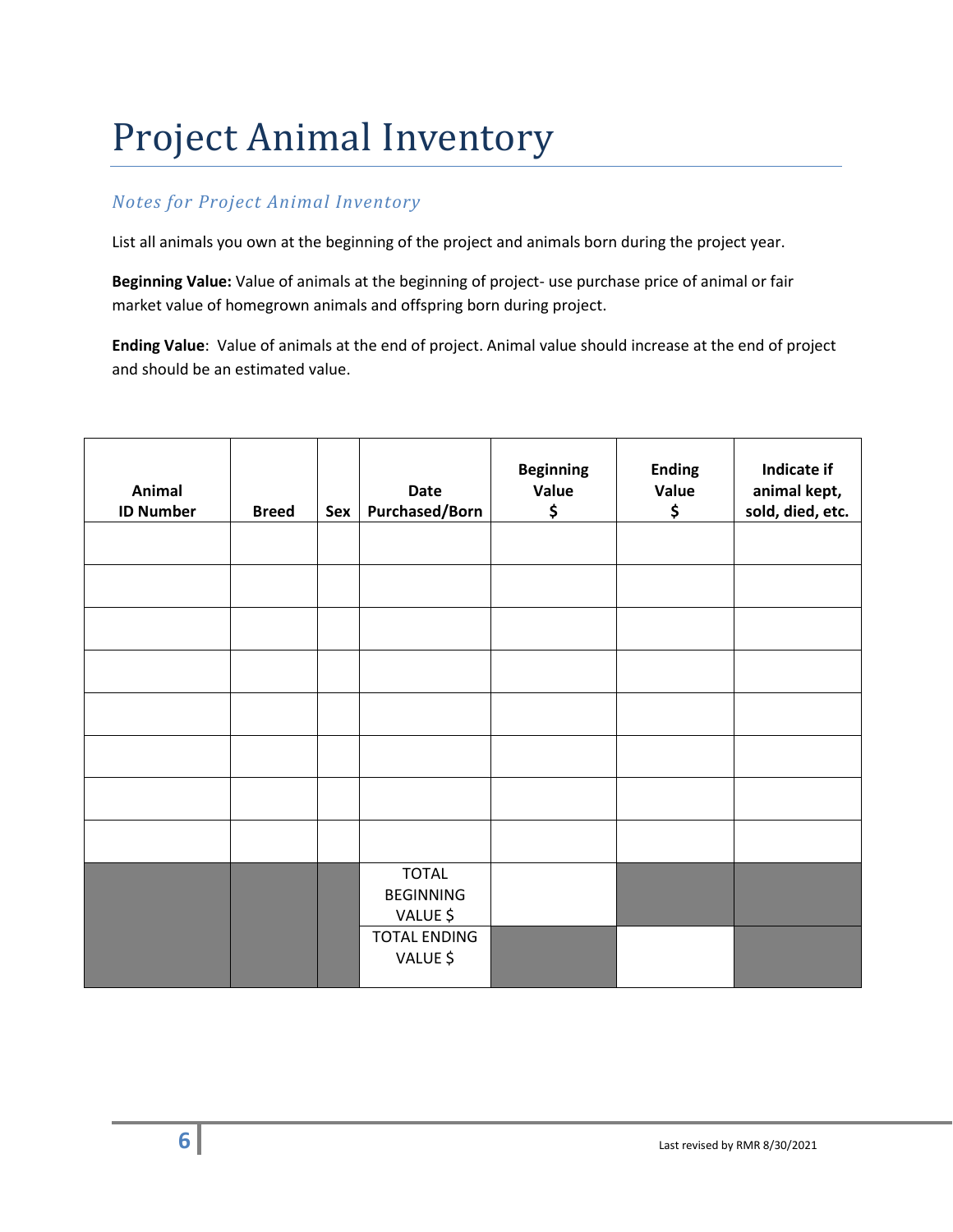### Project Animal Inventory

#### *Notes for Project Animal Inventory*

List all animals you own at the beginning of the project and animals born during the project year.

**Beginning Value:** Value of animals at the beginning of project- use purchase price of animal or fair market value of homegrown animals and offspring born during project.

**Ending Value**: Value of animals at the end of project. Animal value should increase at the end of project and should be an estimated value.

| Animal<br><b>ID Number</b> | <b>Breed</b> | Sex | <b>Date</b><br><b>Purchased/Born</b>         | <b>Beginning</b><br>Value<br>\$ | <b>Ending</b><br>Value<br>\$ | Indicate if<br>animal kept,<br>sold, died, etc. |
|----------------------------|--------------|-----|----------------------------------------------|---------------------------------|------------------------------|-------------------------------------------------|
|                            |              |     |                                              |                                 |                              |                                                 |
|                            |              |     |                                              |                                 |                              |                                                 |
|                            |              |     |                                              |                                 |                              |                                                 |
|                            |              |     |                                              |                                 |                              |                                                 |
|                            |              |     |                                              |                                 |                              |                                                 |
|                            |              |     |                                              |                                 |                              |                                                 |
|                            |              |     |                                              |                                 |                              |                                                 |
|                            |              |     |                                              |                                 |                              |                                                 |
|                            |              |     | <b>TOTAL</b><br><b>BEGINNING</b><br>VALUE \$ |                                 |                              |                                                 |
|                            |              |     | <b>TOTAL ENDING</b><br>VALUE \$              |                                 |                              |                                                 |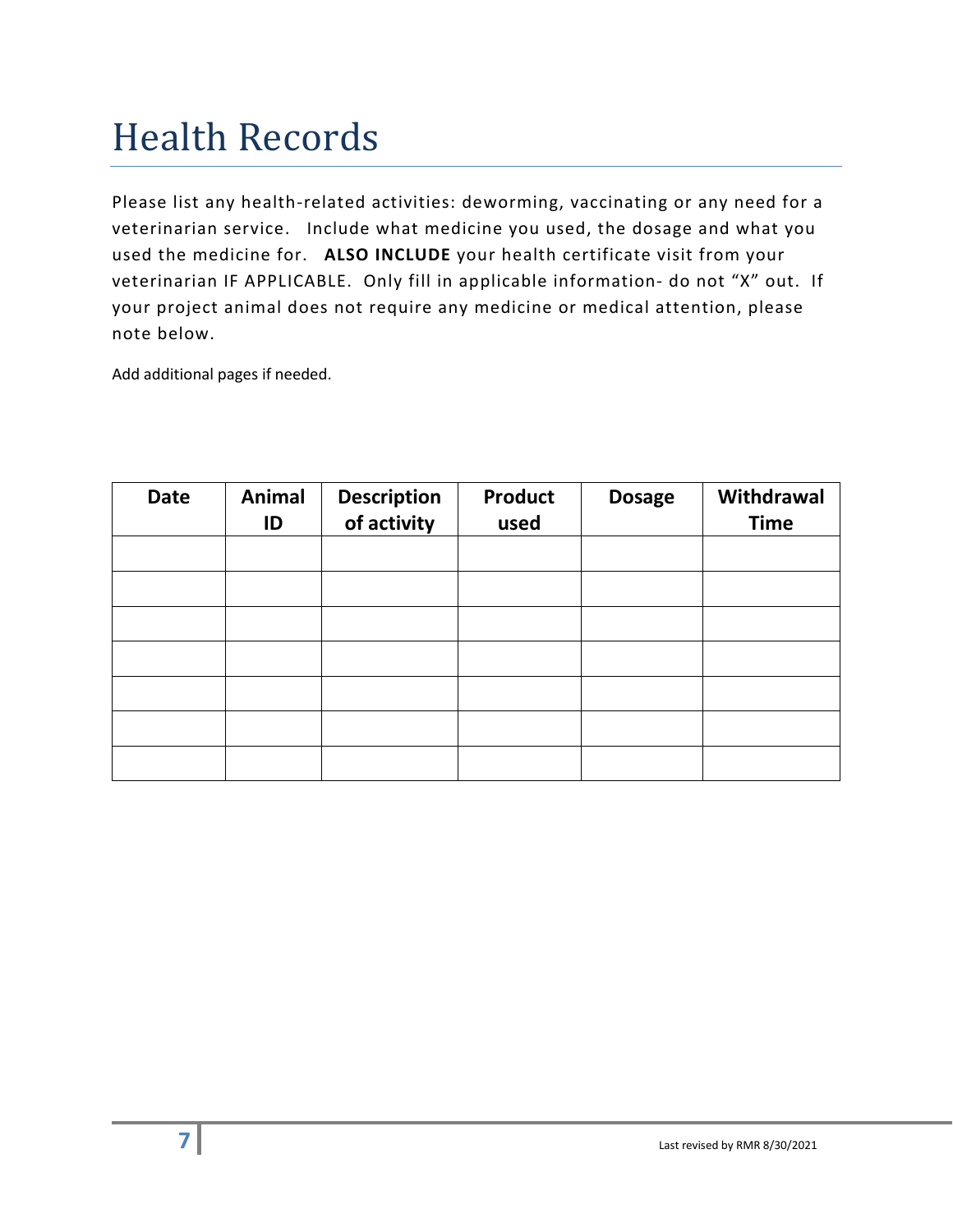### Health Records

Please list any health-related activities: deworming, vaccinating or any need for a veterinarian service. Include what medicine you used, the dosage and what you used the medicine for. **ALSO INCLUDE** your health certificate visit from your veterinarian IF APPLICABLE. Only fill in applicable information- do not "X" out. If your project animal does not require any medicine or medical attention, please note below.

Add additional pages if needed.

| <b>Date</b> | <b>Animal</b><br>ID | <b>Description</b><br>of activity | <b>Product</b><br>used | <b>Dosage</b> | Withdrawal<br><b>Time</b> |
|-------------|---------------------|-----------------------------------|------------------------|---------------|---------------------------|
|             |                     |                                   |                        |               |                           |
|             |                     |                                   |                        |               |                           |
|             |                     |                                   |                        |               |                           |
|             |                     |                                   |                        |               |                           |
|             |                     |                                   |                        |               |                           |
|             |                     |                                   |                        |               |                           |
|             |                     |                                   |                        |               |                           |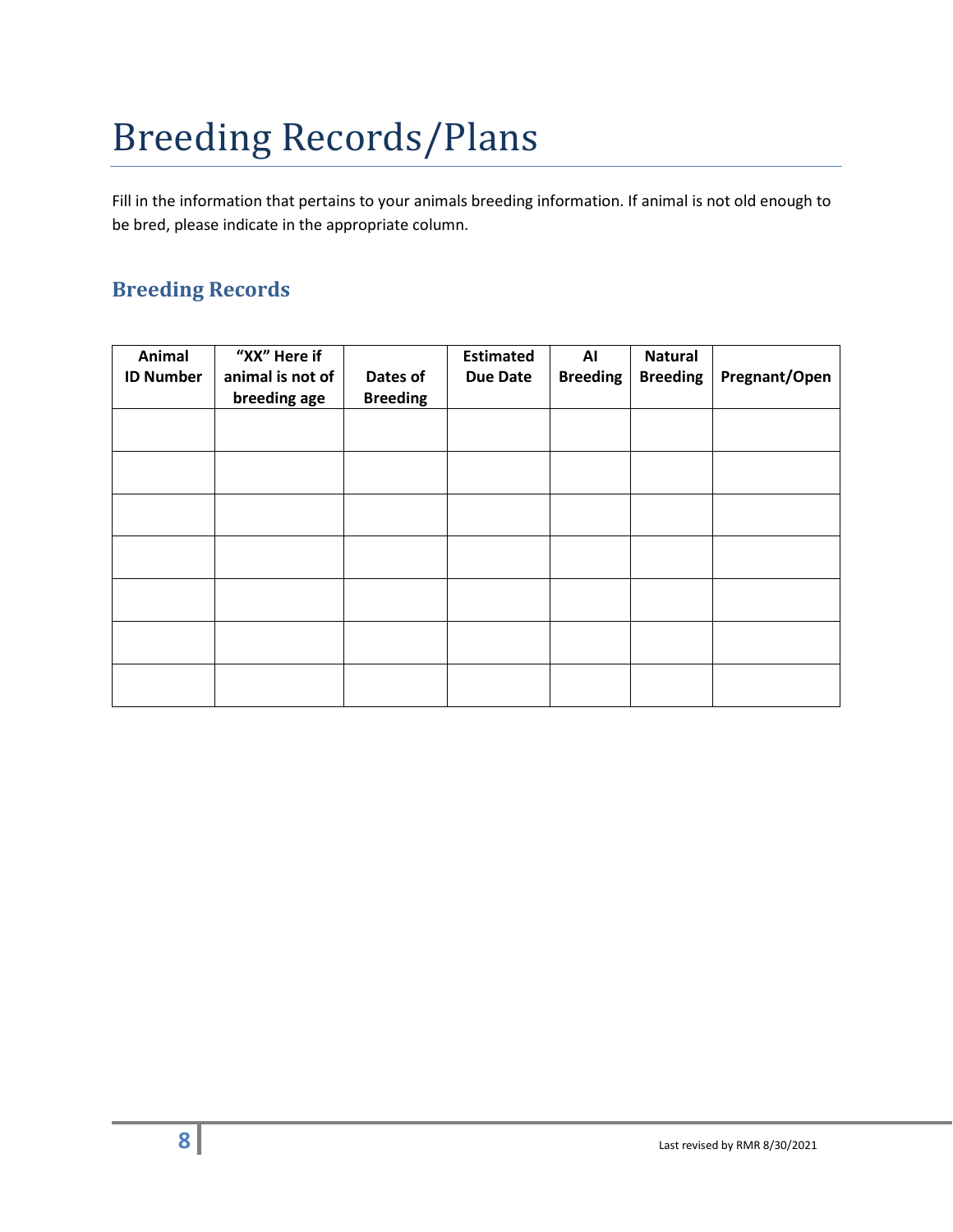## Breeding Records/Plans

Fill in the information that pertains to your animals breeding information. If animal is not old enough to be bred, please indicate in the appropriate column.

#### **Breeding Records**

| Animal           | "XX" Here if     |                 | <b>Estimated</b> | AI              | <b>Natural</b>  |               |
|------------------|------------------|-----------------|------------------|-----------------|-----------------|---------------|
| <b>ID Number</b> | animal is not of | Dates of        | <b>Due Date</b>  | <b>Breeding</b> | <b>Breeding</b> | Pregnant/Open |
|                  | breeding age     | <b>Breeding</b> |                  |                 |                 |               |
|                  |                  |                 |                  |                 |                 |               |
|                  |                  |                 |                  |                 |                 |               |
|                  |                  |                 |                  |                 |                 |               |
|                  |                  |                 |                  |                 |                 |               |
|                  |                  |                 |                  |                 |                 |               |
|                  |                  |                 |                  |                 |                 |               |
|                  |                  |                 |                  |                 |                 |               |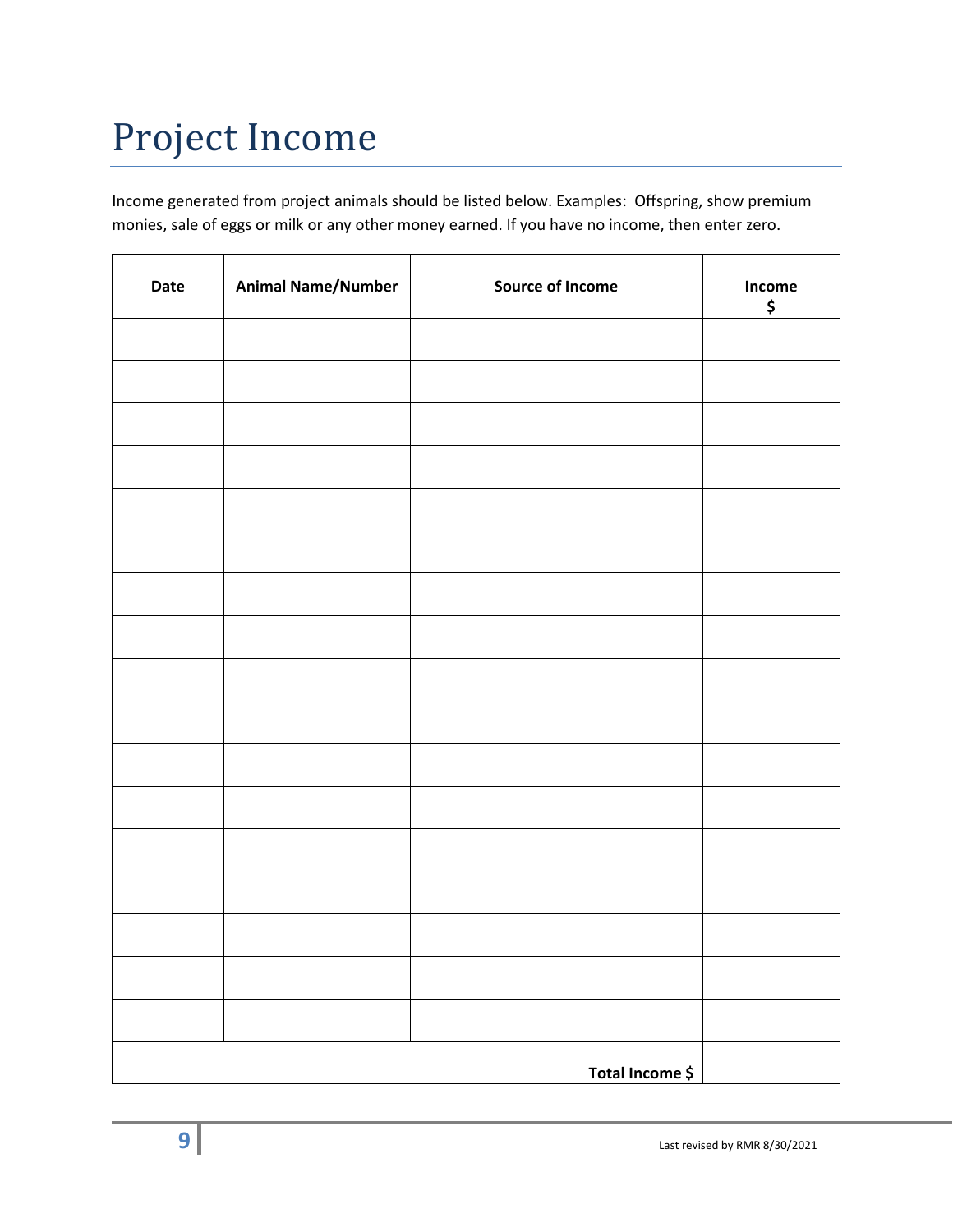### Project Income

Income generated from project animals should be listed below. Examples: Offspring, show premium monies, sale of eggs or milk or any other money earned. If you have no income, then enter zero.

| Date | <b>Animal Name/Number</b> | <b>Source of Income</b> | Income<br>\$ |
|------|---------------------------|-------------------------|--------------|
|      |                           |                         |              |
|      |                           |                         |              |
|      |                           |                         |              |
|      |                           |                         |              |
|      |                           |                         |              |
|      |                           |                         |              |
|      |                           |                         |              |
|      |                           |                         |              |
|      |                           |                         |              |
|      |                           |                         |              |
|      |                           |                         |              |
|      |                           |                         |              |
|      |                           |                         |              |
|      |                           |                         |              |
|      |                           |                         |              |
|      |                           |                         |              |
|      |                           |                         |              |
|      |                           | Total Income \$         |              |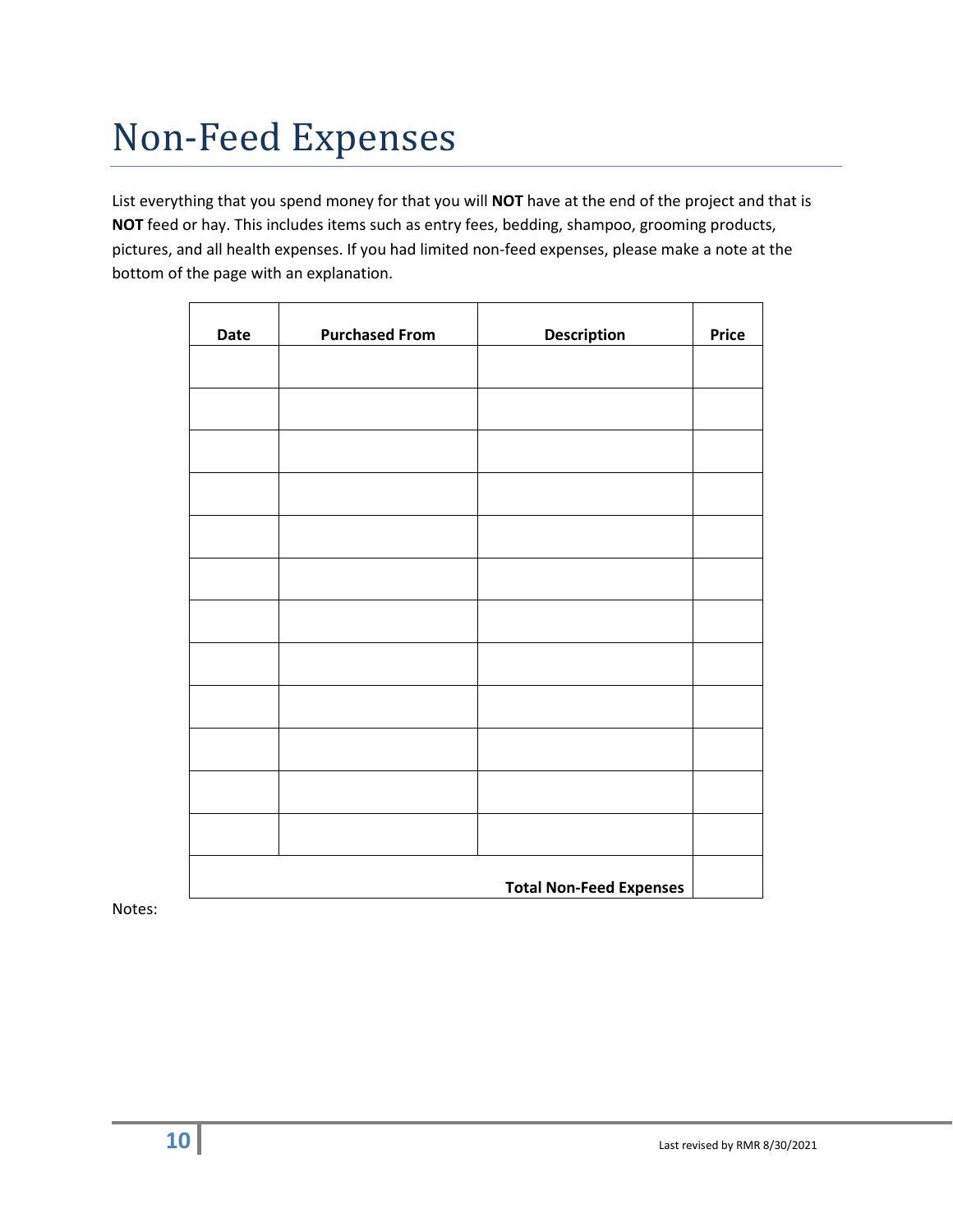### Non-Feed Expenses

List everything that you spend money for that you will **NOT** have at the end of the project and that is **NOT** feed or hay. This includes items such as entry fees, bedding, shampoo, grooming products, pictures, and all health expenses. If you had limited non-feed expenses, please make a note at the bottom of the page with an explanation.

| Date | <b>Purchased From</b>          | <b>Description</b> | <b>Price</b> |
|------|--------------------------------|--------------------|--------------|
|      |                                |                    |              |
|      |                                |                    |              |
|      |                                |                    |              |
|      |                                |                    |              |
|      |                                |                    |              |
|      |                                |                    |              |
|      |                                |                    |              |
|      |                                |                    |              |
|      |                                |                    |              |
|      |                                |                    |              |
|      |                                |                    |              |
|      |                                |                    |              |
|      | <b>Total Non-Feed Expenses</b> |                    |              |

Notes: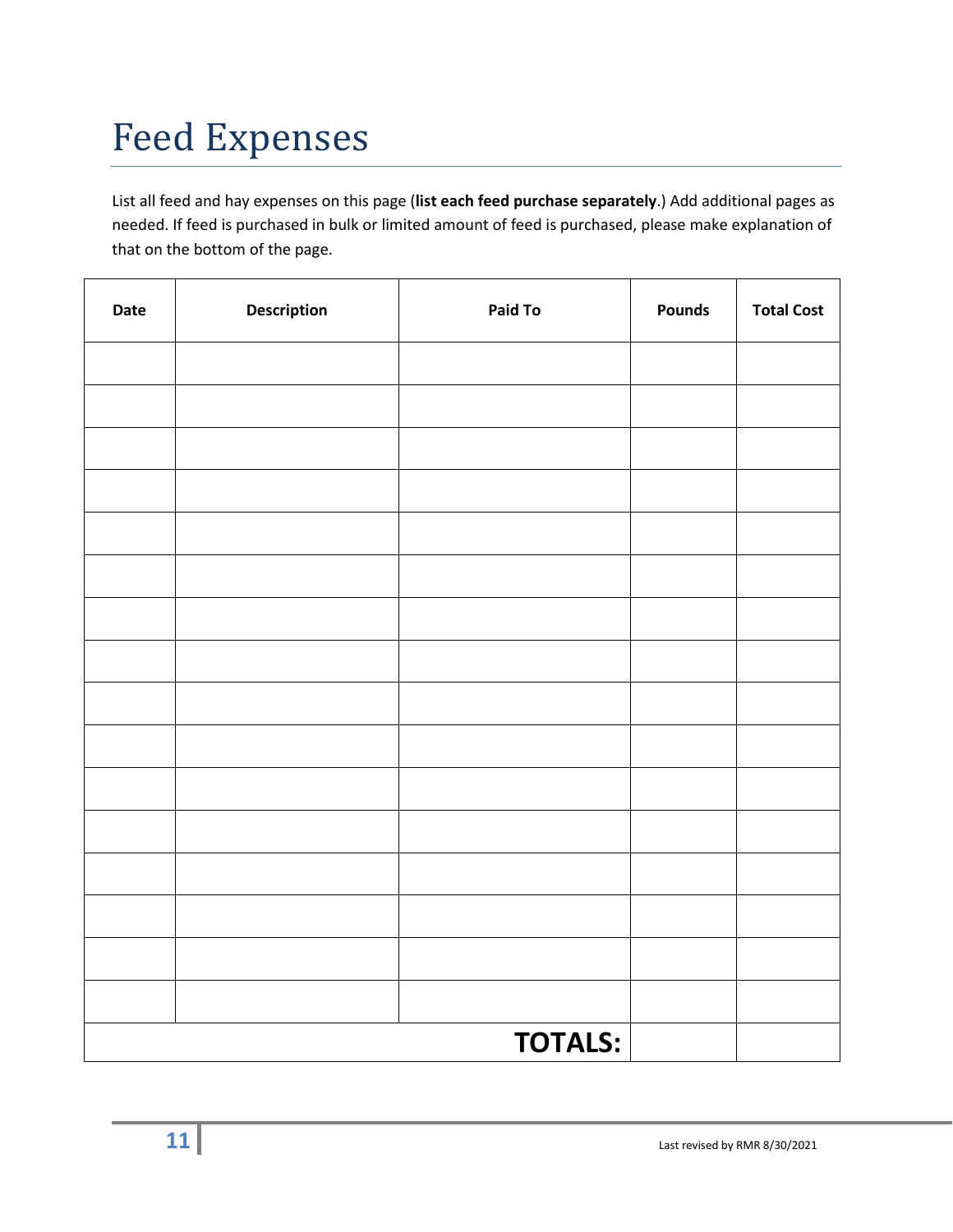## Feed Expenses

List all feed and hay expenses on this page (**list each feed purchase separately**.) Add additional pages as needed. If feed is purchased in bulk or limited amount of feed is purchased, please make explanation of that on the bottom of the page.

| Date | Description | Paid To        | <b>Pounds</b> | <b>Total Cost</b> |
|------|-------------|----------------|---------------|-------------------|
|      |             |                |               |                   |
|      |             |                |               |                   |
|      |             |                |               |                   |
|      |             |                |               |                   |
|      |             |                |               |                   |
|      |             |                |               |                   |
|      |             |                |               |                   |
|      |             |                |               |                   |
|      |             |                |               |                   |
|      |             |                |               |                   |
|      |             |                |               |                   |
|      |             |                |               |                   |
|      |             |                |               |                   |
|      |             |                |               |                   |
|      |             |                |               |                   |
|      |             |                |               |                   |
|      |             | <b>TOTALS:</b> |               |                   |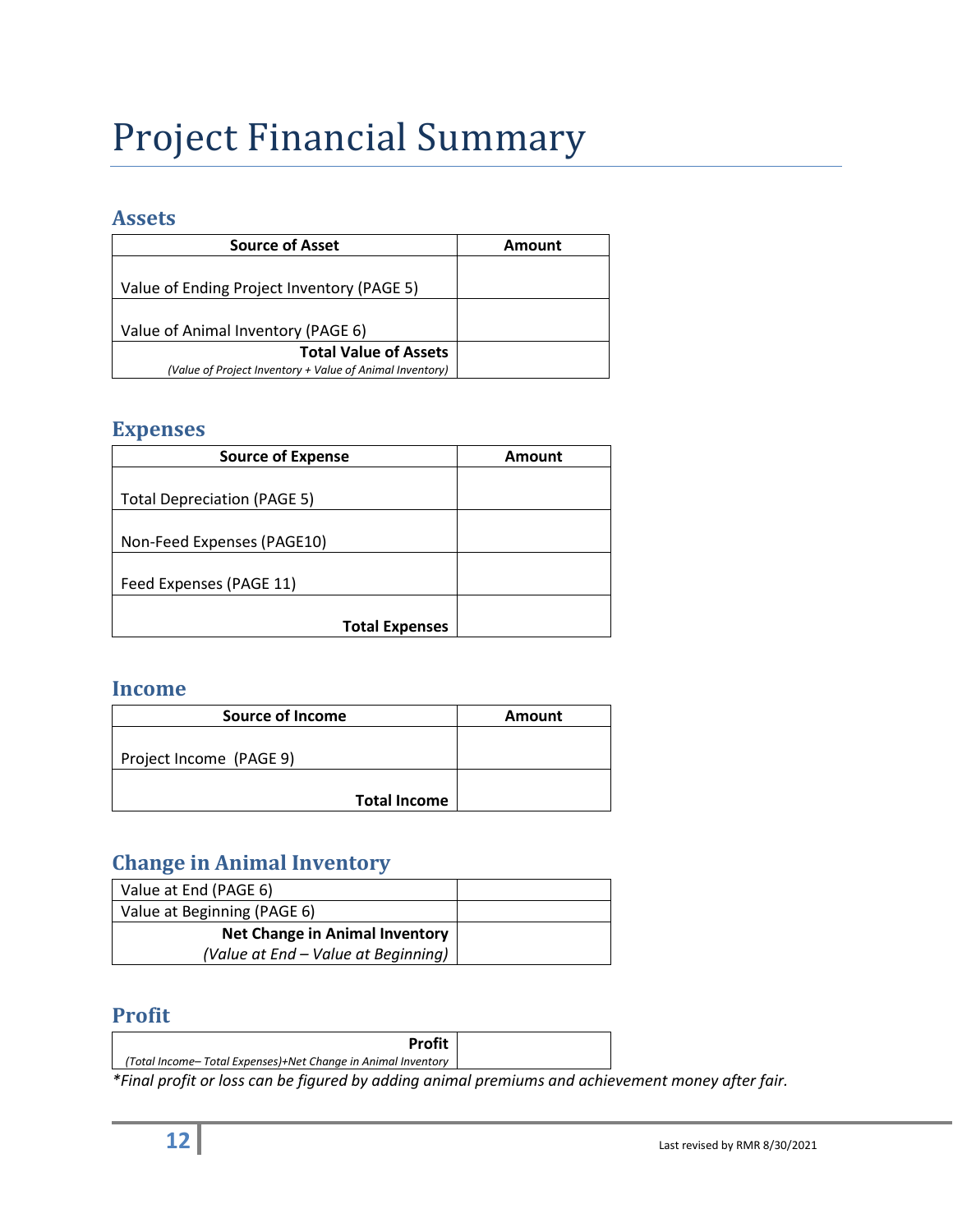### Project Financial Summary

#### **Assets**

| <b>Source of Asset</b>                                   | Amount |
|----------------------------------------------------------|--------|
|                                                          |        |
| Value of Ending Project Inventory (PAGE 5)               |        |
|                                                          |        |
| Value of Animal Inventory (PAGE 6)                       |        |
| <b>Total Value of Assets</b>                             |        |
| (Value of Proiect Inventory + Value of Animal Inventory) |        |

#### **Expenses**

| <b>Source of Expense</b>           | <b>Amount</b> |
|------------------------------------|---------------|
|                                    |               |
| <b>Total Depreciation (PAGE 5)</b> |               |
|                                    |               |
| Non-Feed Expenses (PAGE10)         |               |
|                                    |               |
| Feed Expenses (PAGE 11)            |               |
|                                    |               |
| <b>Total Expenses</b>              |               |

#### **Income**

| <b>Source of Income</b> | Amount |
|-------------------------|--------|
| Project Income (PAGE 9) |        |
| <b>Total Income</b>     |        |

#### **Change in Animal Inventory**

| Value at End (PAGE 6)                 |  |
|---------------------------------------|--|
| Value at Beginning (PAGE 6)           |  |
| <b>Net Change in Animal Inventory</b> |  |
| (Value at End – Value at Beginning)   |  |

#### **Profit**

| <b>Profit</b>                                                 |  |  |  |
|---------------------------------------------------------------|--|--|--|
| (Total Income– Total Expenses)+Net Change in Animal Inventory |  |  |  |
| $\mathbf{u} = \mathbf{v}$                                     |  |  |  |

*\*Final profit or loss can be figured by adding animal premiums and achievement money after fair.*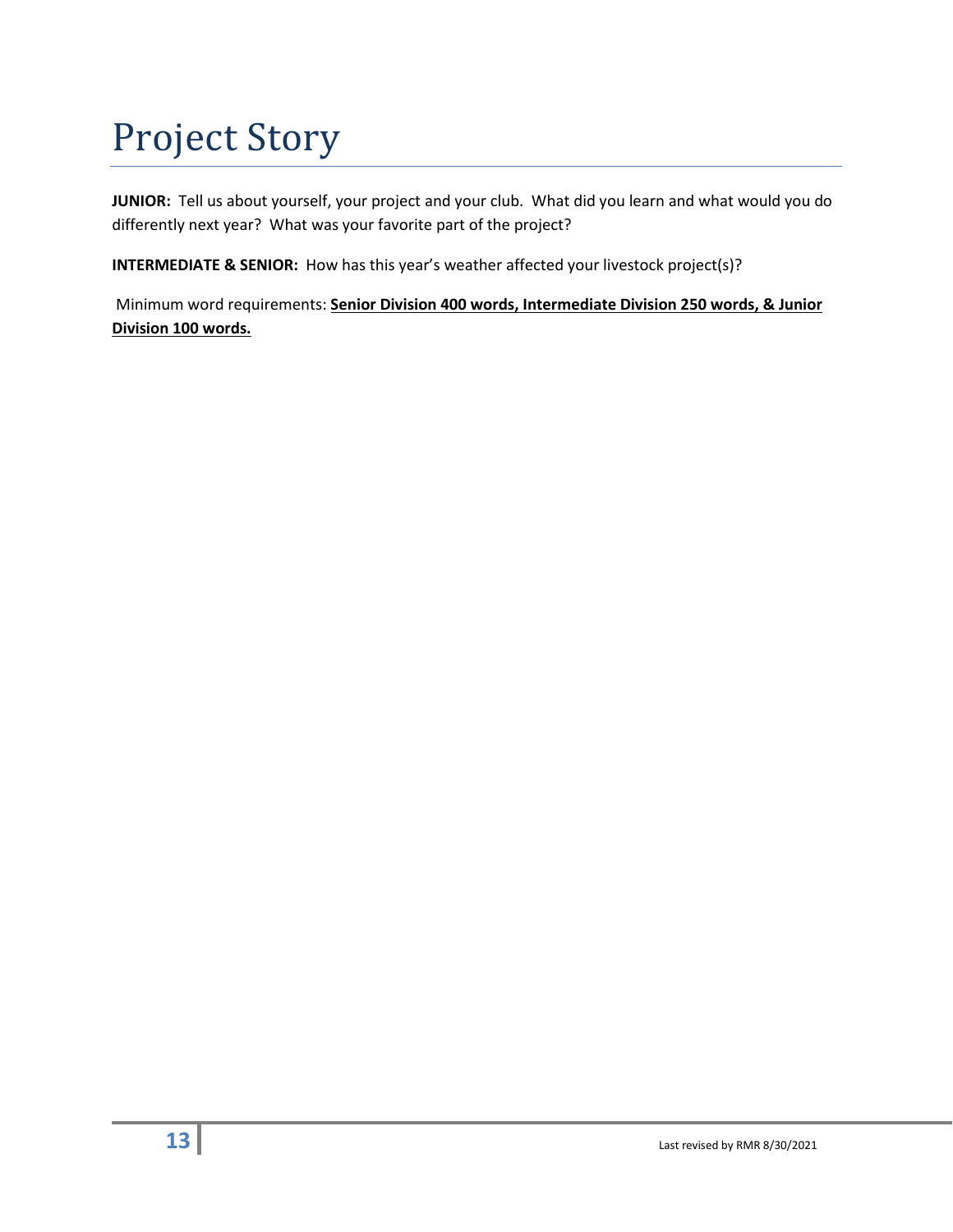### Project Story

**JUNIOR:** Tell us about yourself, your project and your club. What did you learn and what would you do differently next year? What was your favorite part of the project?

**INTERMEDIATE & SENIOR:** How has this year's weather affected your livestock project(s)?

Minimum word requirements: **Senior Division 400 words, Intermediate Division 250 words, & Junior Division 100 words.**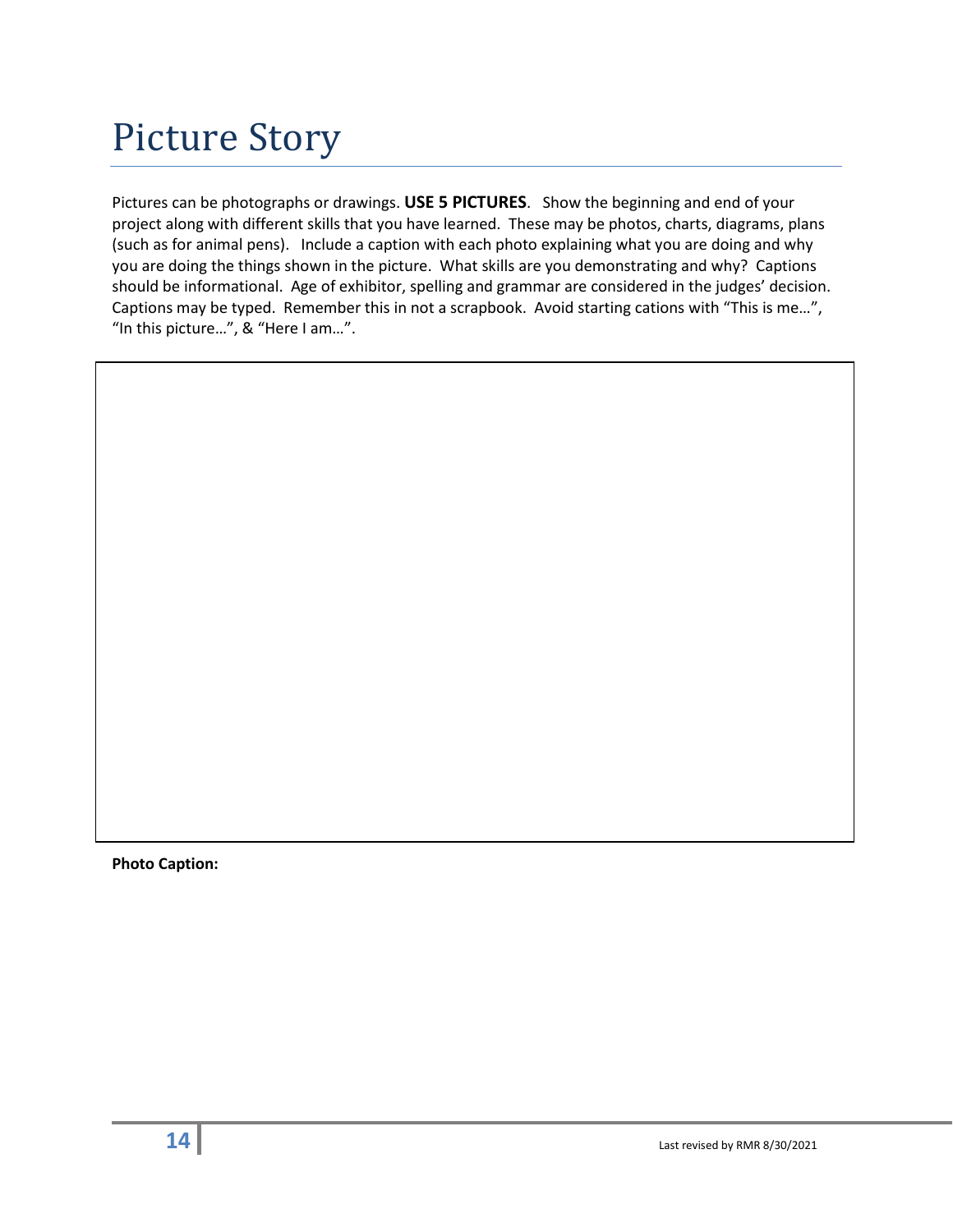Pictures can be photographs or drawings. **USE 5 PICTURES**. Show the beginning and end of your project along with different skills that you have learned. These may be photos, charts, diagrams, plans (such as for animal pens). Include a caption with each photo explaining what you are doing and why you are doing the things shown in the picture. What skills are you demonstrating and why? Captions should be informational. Age of exhibitor, spelling and grammar are considered in the judges' decision. Captions may be typed. Remember this in not a scrapbook. Avoid starting cations with "This is me…", "In this picture…", & "Here I am…".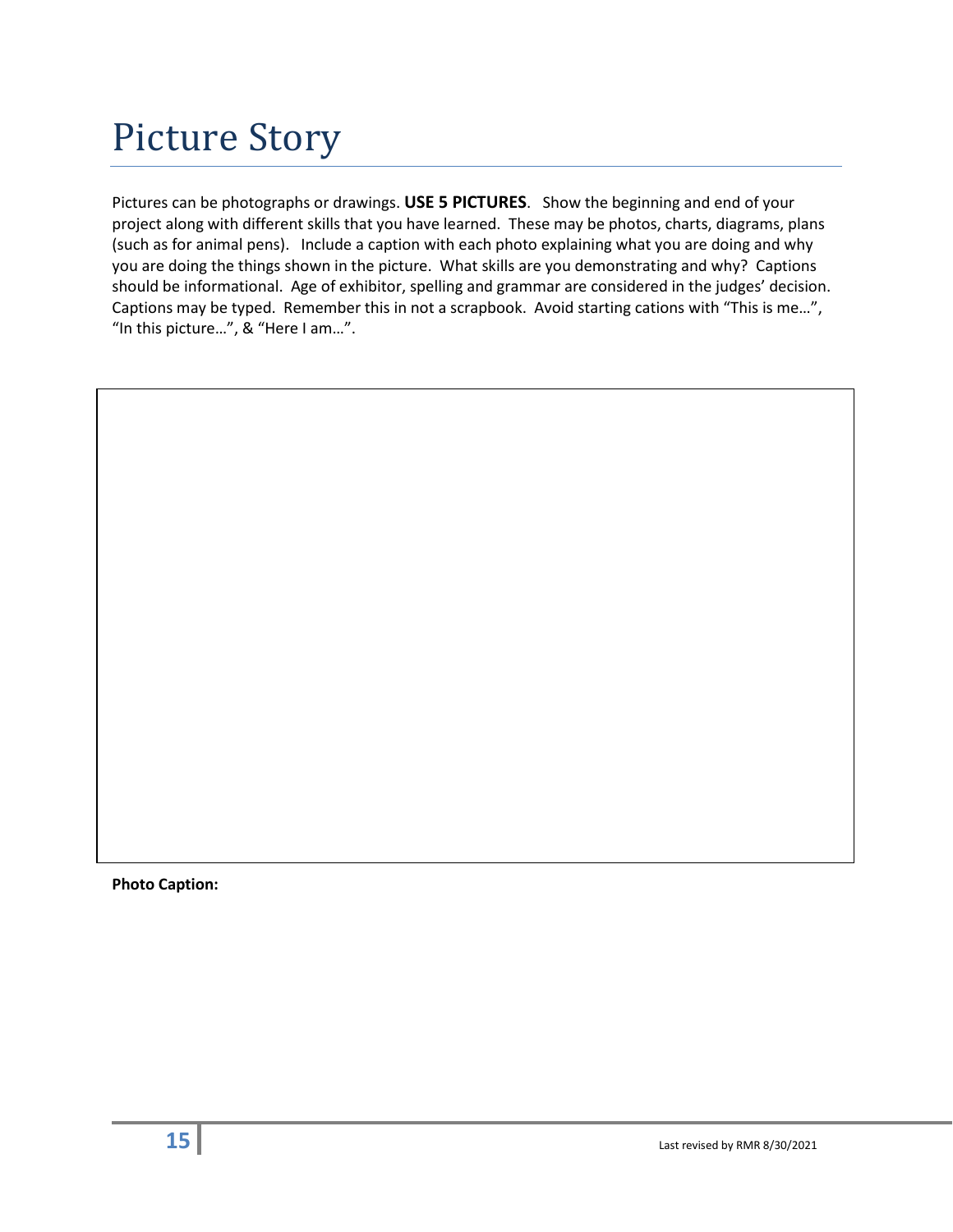Pictures can be photographs or drawings. **USE 5 PICTURES**. Show the beginning and end of your project along with different skills that you have learned. These may be photos, charts, diagrams, plans (such as for animal pens). Include a caption with each photo explaining what you are doing and why you are doing the things shown in the picture. What skills are you demonstrating and why? Captions should be informational. Age of exhibitor, spelling and grammar are considered in the judges' decision. Captions may be typed. Remember this in not a scrapbook. Avoid starting cations with "This is me…", "In this picture…", & "Here I am…".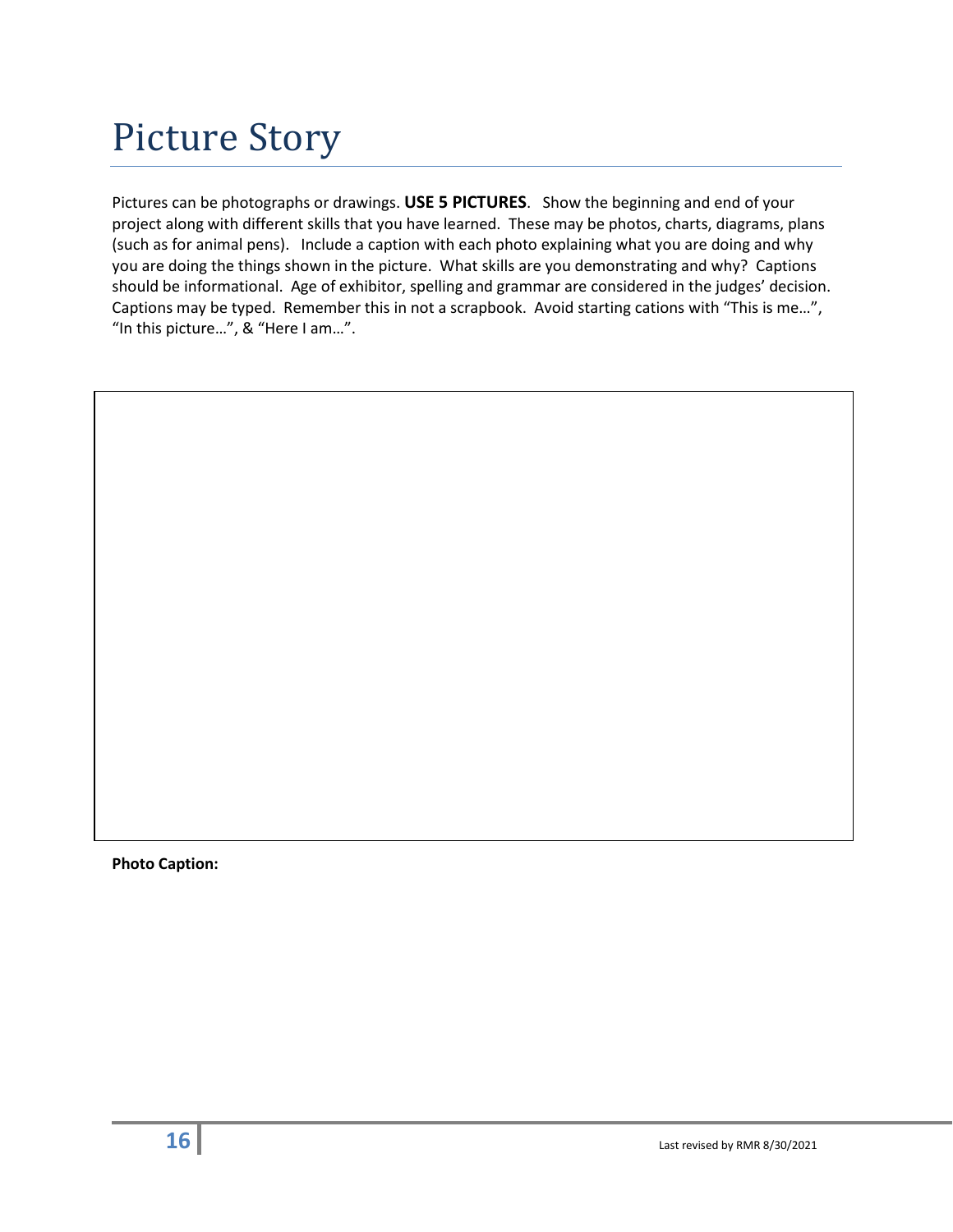Pictures can be photographs or drawings. **USE 5 PICTURES**. Show the beginning and end of your project along with different skills that you have learned. These may be photos, charts, diagrams, plans (such as for animal pens). Include a caption with each photo explaining what you are doing and why you are doing the things shown in the picture. What skills are you demonstrating and why? Captions should be informational. Age of exhibitor, spelling and grammar are considered in the judges' decision. Captions may be typed. Remember this in not a scrapbook. Avoid starting cations with "This is me…", "In this picture…", & "Here I am…".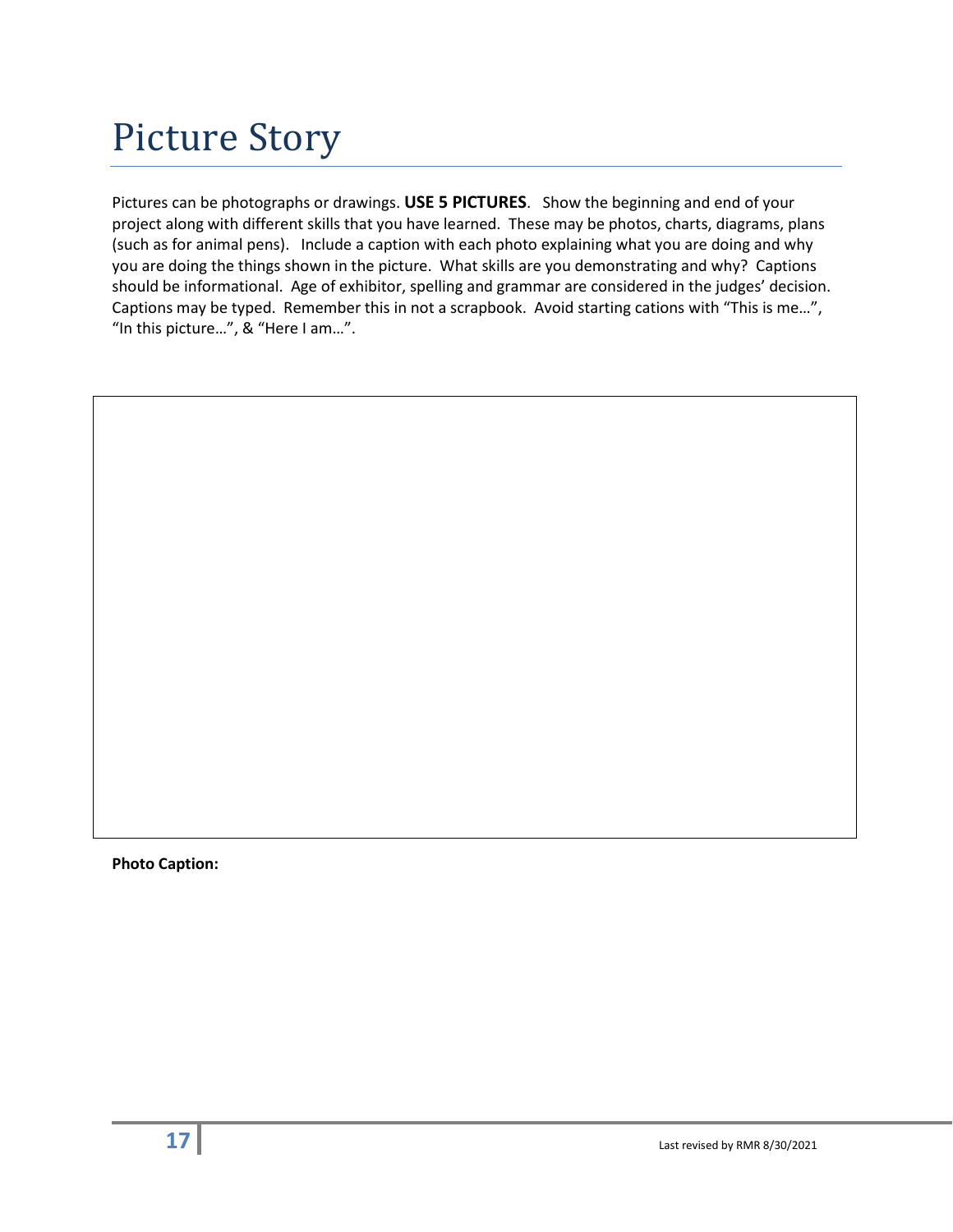Pictures can be photographs or drawings. **USE 5 PICTURES**. Show the beginning and end of your project along with different skills that you have learned. These may be photos, charts, diagrams, plans (such as for animal pens). Include a caption with each photo explaining what you are doing and why you are doing the things shown in the picture. What skills are you demonstrating and why? Captions should be informational. Age of exhibitor, spelling and grammar are considered in the judges' decision. Captions may be typed. Remember this in not a scrapbook. Avoid starting cations with "This is me…", "In this picture…", & "Here I am…".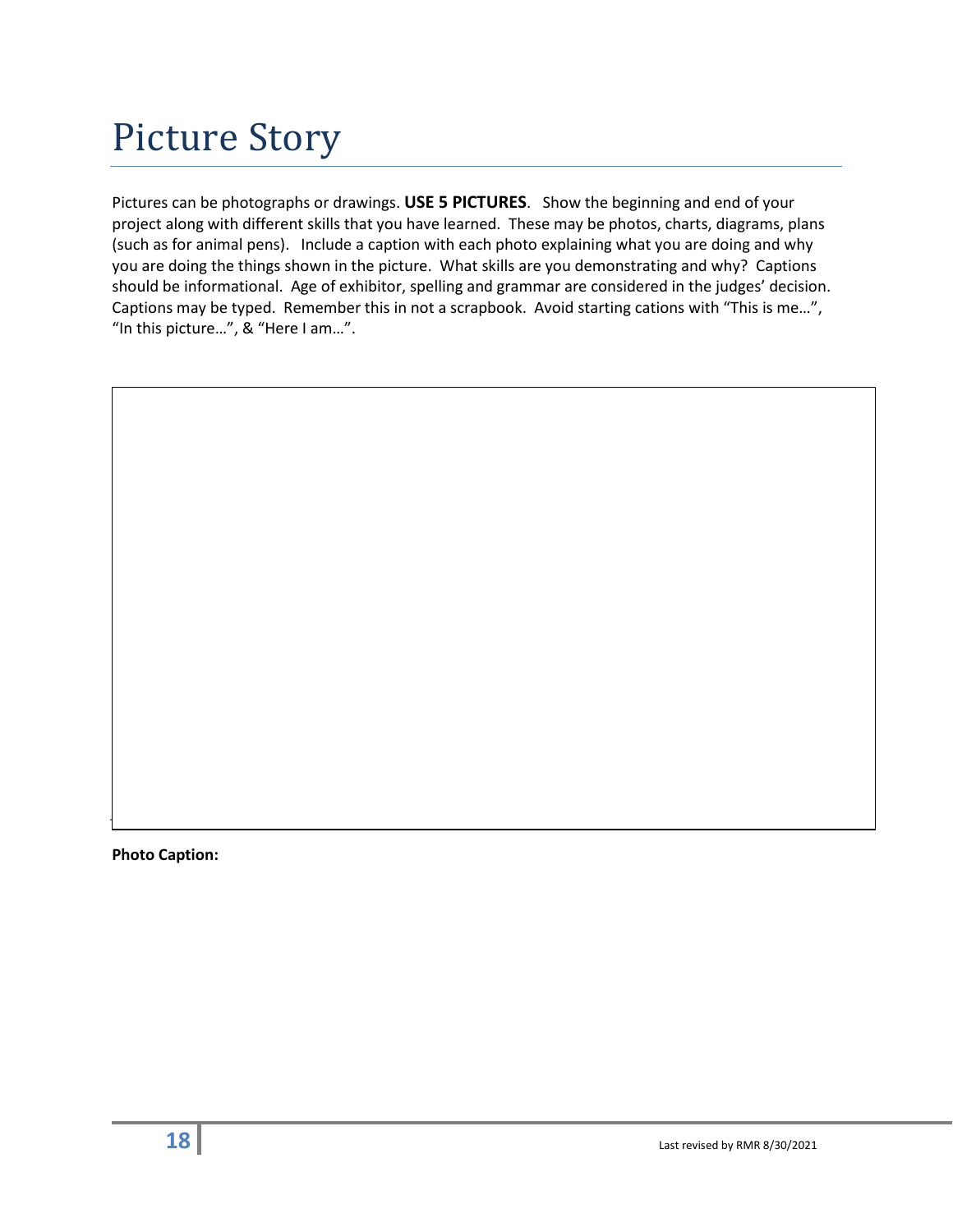Pictures can be photographs or drawings. **USE 5 PICTURES**. Show the beginning and end of your project along with different skills that you have learned. These may be photos, charts, diagrams, plans (such as for animal pens). Include a caption with each photo explaining what you are doing and why you are doing the things shown in the picture. What skills are you demonstrating and why? Captions should be informational. Age of exhibitor, spelling and grammar are considered in the judges' decision. Captions may be typed. Remember this in not a scrapbook. Avoid starting cations with "This is me…", "In this picture…", & "Here I am…".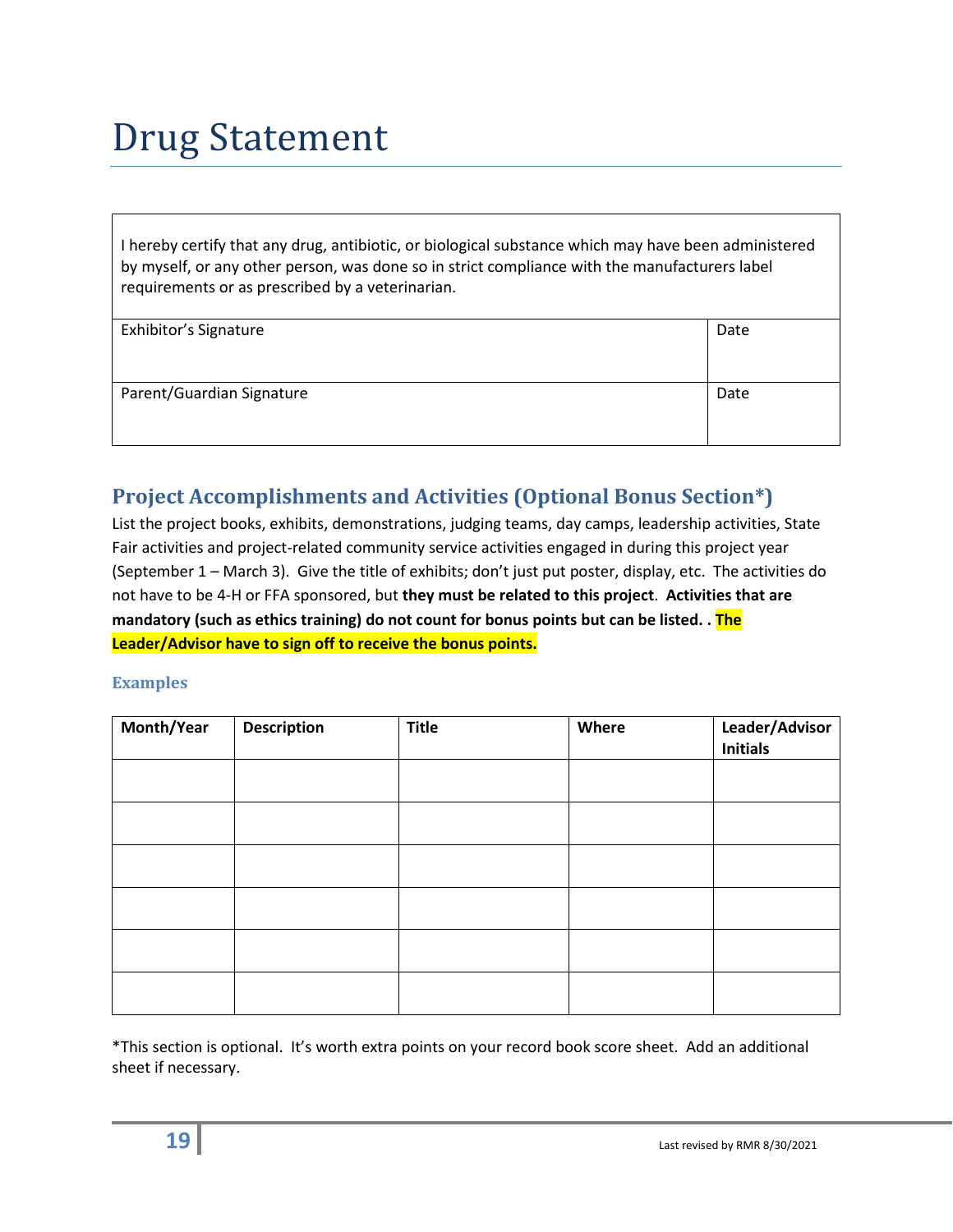### Drug Statement

I hereby certify that any drug, antibiotic, or biological substance which may have been administered by myself, or any other person, was done so in strict compliance with the manufacturers label requirements or as prescribed by a veterinarian.

| Exhibitor's Signature     | Date |
|---------------------------|------|
|                           |      |
|                           |      |
|                           |      |
|                           |      |
|                           |      |
| Parent/Guardian Signature | Date |
|                           |      |
|                           |      |
|                           |      |
|                           |      |

#### **Project Accomplishments and Activities (Optional Bonus Section\*)**

List the project books, exhibits, demonstrations, judging teams, day camps, leadership activities, State Fair activities and project-related community service activities engaged in during this project year (September 1 – March 3). Give the title of exhibits; don't just put poster, display, etc. The activities do not have to be 4-H or FFA sponsored, but **they must be related to this project**. **Activities that are mandatory (such as ethics training) do not count for bonus points but can be listed. . The Leader/Advisor have to sign off to receive the bonus points.**

#### **Examples**

| Month/Year | <b>Description</b> | <b>Title</b> | Where | Leader/Advisor<br><b>Initials</b> |
|------------|--------------------|--------------|-------|-----------------------------------|
|            |                    |              |       |                                   |
|            |                    |              |       |                                   |
|            |                    |              |       |                                   |
|            |                    |              |       |                                   |
|            |                    |              |       |                                   |
|            |                    |              |       |                                   |

\*This section is optional. It's worth extra points on your record book score sheet. Add an additional sheet if necessary.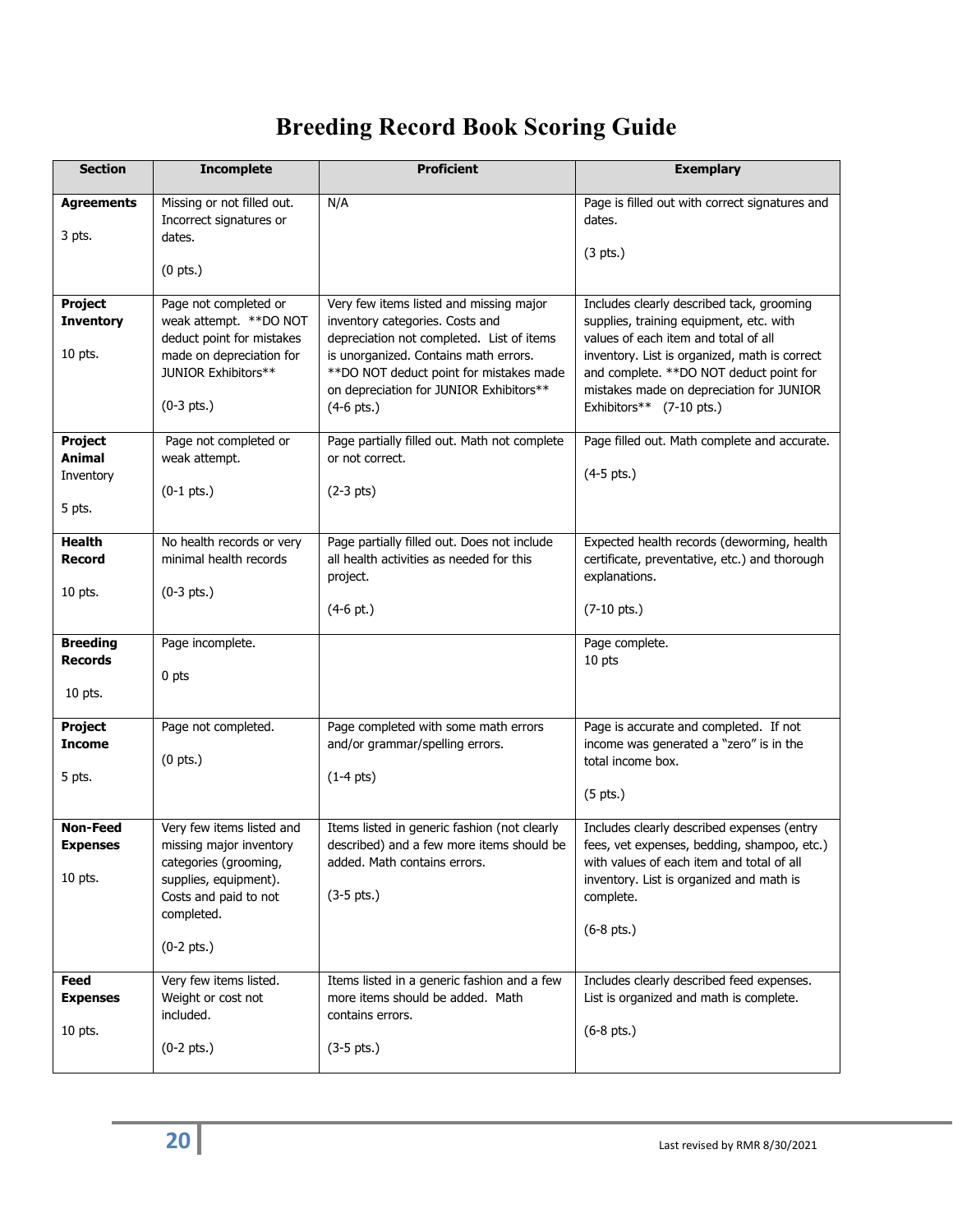#### **Breeding Record Book Scoring Guide**

| <b>Section</b>                                  | <b>Incomplete</b>                                                                                                                                             | <b>Proficient</b>                                                                                                                                                                                                                                                       | <b>Exemplary</b>                                                                                                                                                                                                                                                                                 |
|-------------------------------------------------|---------------------------------------------------------------------------------------------------------------------------------------------------------------|-------------------------------------------------------------------------------------------------------------------------------------------------------------------------------------------------------------------------------------------------------------------------|--------------------------------------------------------------------------------------------------------------------------------------------------------------------------------------------------------------------------------------------------------------------------------------------------|
| <b>Agreements</b><br>3 pts.                     | Missing or not filled out.<br>Incorrect signatures or<br>dates.<br>$(0$ pts.)                                                                                 | N/A                                                                                                                                                                                                                                                                     | Page is filled out with correct signatures and<br>dates.<br>(3 <i>pts</i> .)                                                                                                                                                                                                                     |
| <b>Project</b><br><b>Inventory</b><br>10 pts.   | Page not completed or<br>weak attempt. **DO NOT<br>deduct point for mistakes<br>made on depreciation for<br>JUNIOR Exhibitors**<br>$(0-3 \text{ pts.})$       | Very few items listed and missing major<br>inventory categories. Costs and<br>depreciation not completed. List of items<br>is unorganized. Contains math errors.<br>** DO NOT deduct point for mistakes made<br>on depreciation for JUNIOR Exhibitors**<br>$(4-6$ pts.) | Includes clearly described tack, grooming<br>supplies, training equipment, etc. with<br>values of each item and total of all<br>inventory. List is organized, math is correct<br>and complete. **DO NOT deduct point for<br>mistakes made on depreciation for JUNIOR<br>Exhibitors** (7-10 pts.) |
| <b>Project</b><br>Animal<br>Inventory<br>5 pts. | Page not completed or<br>weak attempt.<br>$(0-1$ pts.)                                                                                                        | Page partially filled out. Math not complete<br>or not correct.<br>$(2-3$ pts)                                                                                                                                                                                          | Page filled out. Math complete and accurate.<br>$(4-5$ pts.)                                                                                                                                                                                                                                     |
| <b>Health</b><br><b>Record</b><br>10 pts.       | No health records or very<br>minimal health records<br>$(0-3 \text{ pts.})$                                                                                   | Page partially filled out. Does not include<br>all health activities as needed for this<br>project.<br>$(4-6$ pt.)                                                                                                                                                      | Expected health records (deworming, health<br>certificate, preventative, etc.) and thorough<br>explanations.<br>$(7-10 \text{ pts.})$                                                                                                                                                            |
| <b>Breeding</b><br><b>Records</b><br>10 pts.    | Page incomplete.<br>0 pts                                                                                                                                     |                                                                                                                                                                                                                                                                         | Page complete.<br>10 pts                                                                                                                                                                                                                                                                         |
| <b>Project</b><br><b>Income</b><br>5 pts.       | Page not completed.<br>$(0$ pts.)                                                                                                                             | Page completed with some math errors<br>and/or grammar/spelling errors.<br>$(1-4 \text{ pts})$                                                                                                                                                                          | Page is accurate and completed. If not<br>income was generated a "zero" is in the<br>total income box.<br>$(5$ pts.)                                                                                                                                                                             |
| <b>Non-Feed</b><br><b>Expenses</b><br>10 pts.   | Very few items listed and<br>missing major inventory<br>categories (grooming,<br>supplies, equipment).<br>Costs and paid to not<br>completed.<br>$(0-2$ pts.) | Items listed in generic fashion (not clearly<br>described) and a few more items should be<br>added. Math contains errors.<br>$(3-5 \text{ pts.})$                                                                                                                       | Includes clearly described expenses (entry<br>fees, vet expenses, bedding, shampoo, etc.)<br>with values of each item and total of all<br>inventory. List is organized and math is<br>complete.<br>$(6-8$ pts.)                                                                                  |
| <b>Feed</b><br><b>Expenses</b><br>10 pts.       | Very few items listed.<br>Weight or cost not<br>included.<br>$(0-2$ pts.)                                                                                     | Items listed in a generic fashion and a few<br>more items should be added. Math<br>contains errors.<br>$(3-5 \text{ pts.})$                                                                                                                                             | Includes clearly described feed expenses.<br>List is organized and math is complete.<br>$(6-8$ pts.)                                                                                                                                                                                             |